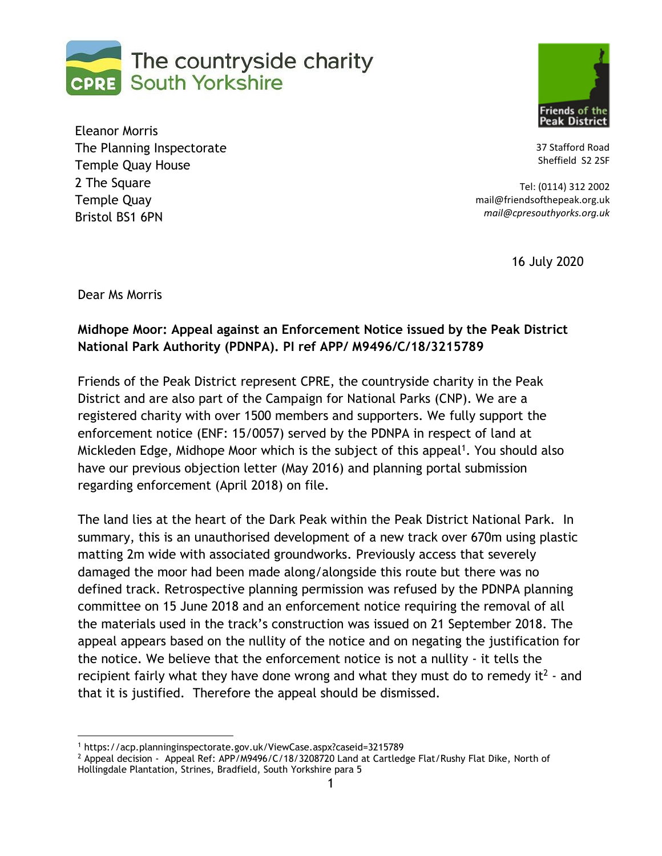



Eleanor Morris The Planning Inspectorate Temple Quay House 2 The Square Temple Quay Bristol BS1 6PN

37 Stafford Road Sheffield S2 2SF

Tel: (0114) 312 2002 mail@friendsofthepeak.org.uk *mail@cpresouthyorks.org.uk*

16 July 2020

Dear Ms Morris

## **Midhope Moor: Appeal against an Enforcement Notice issued by the Peak District National Park Authority (PDNPA). PI ref APP/ M9496/C/18/3215789**

Friends of the Peak District represent CPRE, the countryside charity in the Peak District and are also part of the Campaign for National Parks (CNP). We are a registered charity with over 1500 members and supporters. We fully support the enforcement notice (ENF: 15/0057) served by the PDNPA in respect of land at Mickleden Edge, Midhope Moor which is the subject of this appeal<sup>1</sup>. You should also have our previous objection letter (May 2016) and planning portal submission regarding enforcement (April 2018) on file.

The land lies at the heart of the Dark Peak within the Peak District National Park. In summary, this is an unauthorised development of a new track over 670m using plastic matting 2m wide with associated groundworks. Previously access that severely damaged the moor had been made along/alongside this route but there was no defined track. Retrospective planning permission was refused by the PDNPA planning committee on 15 June 2018 and an enforcement notice requiring the removal of all the materials used in the track's construction was issued on 21 September 2018. The appeal appears based on the nullity of the notice and on negating the justification for the notice. We believe that the enforcement notice is not a nullity - it tells the recipient fairly what they have done wrong and what they must do to remedy it<sup>2</sup> - and that it is justified. Therefore the appeal should be dismissed.

<sup>1</sup> https://acp.planninginspectorate.gov.uk/ViewCase.aspx?caseid=3215789

<sup>&</sup>lt;sup>2</sup> Appeal decision - Appeal Ref: APP/M9496/C/18/3208720 Land at Cartledge Flat/Rushy Flat Dike, North of Hollingdale Plantation, Strines, Bradfield, South Yorkshire para 5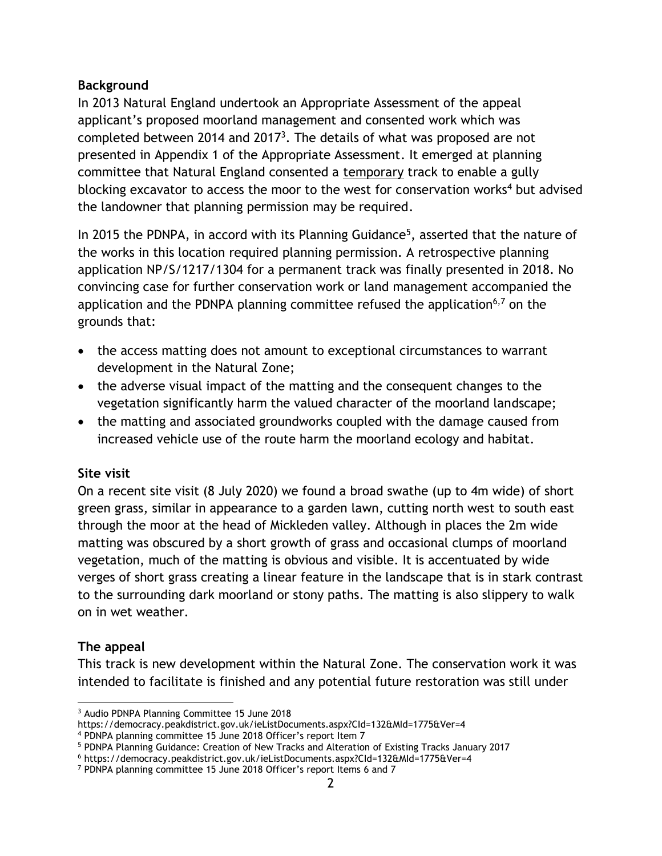## **Background**

In 2013 Natural England undertook an Appropriate Assessment of the appeal applicant's proposed moorland management and consented work which was completed between 2014 and 2017<sup>3</sup>. The details of what was proposed are not presented in Appendix 1 of the Appropriate Assessment. It emerged at planning committee that Natural England consented a temporary track to enable a gully blocking excavator to access the moor to the west for conservation works<sup>4</sup> but advised the landowner that planning permission may be required.

In 2015 the PDNPA, in accord with its Planning Guidance<sup>5</sup>, asserted that the nature of the works in this location required planning permission. A retrospective planning application NP/S/1217/1304 for a permanent track was finally presented in 2018. No convincing case for further conservation work or land management accompanied the application and the PDNPA planning committee refused the application<sup>6,7</sup> on the grounds that:

- the access matting does not amount to exceptional circumstances to warrant development in the Natural Zone;
- the adverse visual impact of the matting and the consequent changes to the vegetation significantly harm the valued character of the moorland landscape;
- the matting and associated groundworks coupled with the damage caused from increased vehicle use of the route harm the moorland ecology and habitat.

## **Site visit**

On a recent site visit (8 July 2020) we found a broad swathe (up to 4m wide) of short green grass, similar in appearance to a garden lawn, cutting north west to south east through the moor at the head of Mickleden valley. Although in places the 2m wide matting was obscured by a short growth of grass and occasional clumps of moorland vegetation, much of the matting is obvious and visible. It is accentuated by wide verges of short grass creating a linear feature in the landscape that is in stark contrast to the surrounding dark moorland or stony paths. The matting is also slippery to walk on in wet weather.

## **The appeal**

This track is new development within the Natural Zone. The conservation work it was intended to facilitate is finished and any potential future restoration was still under

<sup>3</sup> Audio PDNPA Planning Committee 15 June 2018

https://democracy.peakdistrict.gov.uk/ieListDocuments.aspx?CId=132&MId=1775&Ver=4

<sup>4</sup> PDNPA planning committee 15 June 2018 Officer's report Item 7

<sup>5</sup> PDNPA Planning Guidance: Creation of New Tracks and Alteration of Existing Tracks January 2017

<sup>6</sup> https://democracy.peakdistrict.gov.uk/ieListDocuments.aspx?CId=132&MId=1775&Ver=4

<sup>7</sup> PDNPA planning committee 15 June 2018 Officer's report Items 6 and 7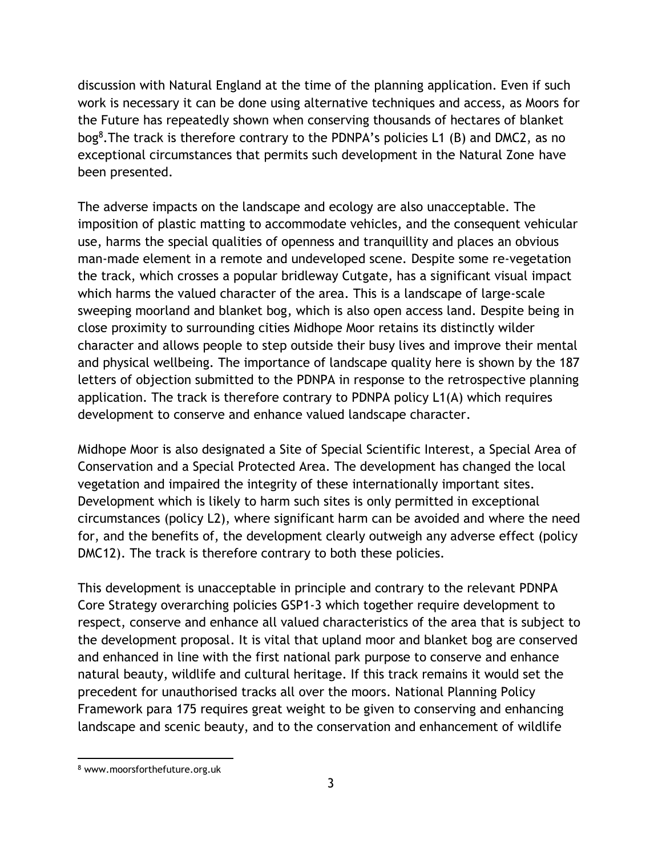discussion with Natural England at the time of the planning application. Even if such work is necessary it can be done using alternative techniques and access, as Moors for the Future has repeatedly shown when conserving thousands of hectares of blanket bog<sup>8</sup>. The track is therefore contrary to the PDNPA's policies L1 (B) and DMC2, as no exceptional circumstances that permits such development in the Natural Zone have been presented.

The adverse impacts on the landscape and ecology are also unacceptable. The imposition of plastic matting to accommodate vehicles, and the consequent vehicular use, harms the special qualities of openness and tranquillity and places an obvious man-made element in a remote and undeveloped scene. Despite some re-vegetation the track, which crosses a popular bridleway Cutgate, has a significant visual impact which harms the valued character of the area. This is a landscape of large-scale sweeping moorland and blanket bog, which is also open access land. Despite being in close proximity to surrounding cities Midhope Moor retains its distinctly wilder character and allows people to step outside their busy lives and improve their mental and physical wellbeing. The importance of landscape quality here is shown by the 187 letters of objection submitted to the PDNPA in response to the retrospective planning application. The track is therefore contrary to PDNPA policy L1(A) which requires development to conserve and enhance valued landscape character.

Midhope Moor is also designated a Site of Special Scientific Interest, a Special Area of Conservation and a Special Protected Area. The development has changed the local vegetation and impaired the integrity of these internationally important sites. Development which is likely to harm such sites is only permitted in exceptional circumstances (policy L2), where significant harm can be avoided and where the need for, and the benefits of, the development clearly outweigh any adverse effect (policy DMC12). The track is therefore contrary to both these policies.

This development is unacceptable in principle and contrary to the relevant PDNPA Core Strategy overarching policies GSP1-3 which together require development to respect, conserve and enhance all valued characteristics of the area that is subject to the development proposal. It is vital that upland moor and blanket bog are conserved and enhanced in line with the first national park purpose to conserve and enhance natural beauty, wildlife and cultural heritage. If this track remains it would set the precedent for unauthorised tracks all over the moors. National Planning Policy Framework para 175 requires great weight to be given to conserving and enhancing landscape and scenic beauty, and to the conservation and enhancement of wildlife

<sup>8</sup> www.moorsforthefuture.org.uk